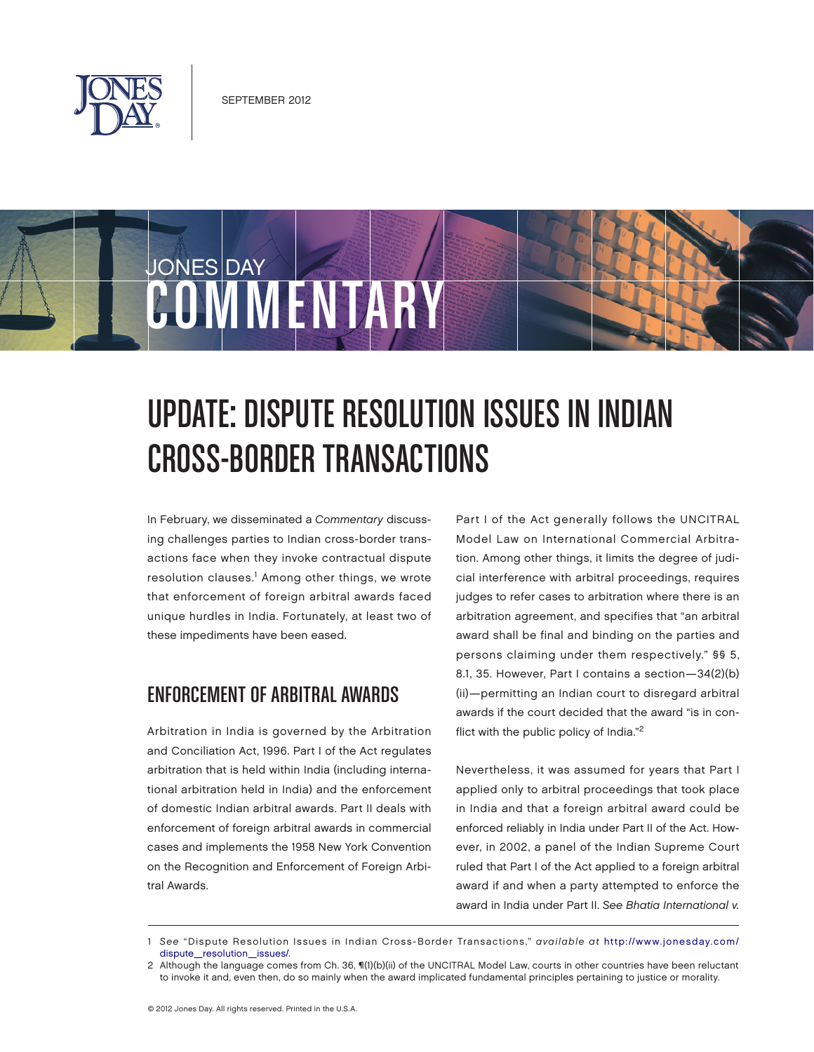

JONES DAY



In February, we disseminated a Commentary discussing challenges parties to Indian cross-border transactions face when they invoke contractual dispute resolution clauses.<sup>1</sup> Among other things, we wrote that enforcement of foreign arbitral awards faced unique hurdles in India. Fortunately, at least two of these impediments have been eased.

COMMENTARY

## Enforcement of Arbitral Awards

Arbitration in India is governed by the Arbitration and Conciliation Act, 1996. Part I of the Act regulates arbitration that is held within India (including international arbitration held in India) and the enforcement of domestic Indian arbitral awards. Part II deals with enforcement of foreign arbitral awards in commercial cases and implements the 1958 New York Convention on the Recognition and Enforcement of Foreign Arbitral Awards.

Part I of the Act generally follows the UNCITRAL Model Law on International Commercial Arbitration. Among other things, it limits the degree of judicial interference with arbitral proceedings, requires judges to refer cases to arbitration where there is an arbitration agreement, and specifies that "an arbitral award shall be final and binding on the parties and persons claiming under them respectively." §§ 5, 8.1, 35. However, Part I contains a section—34(2)(b) (ii)—permitting an Indian court to disregard arbitral awards if the court decided that the award "is in conflict with the public policy of India."2

Nevertheless, it was assumed for years that Part I applied only to arbitral proceedings that took place in India and that a foreign arbitral award could be enforced reliably in India under Part II of the Act. However, in 2002, a panel of the Indian Supreme Court ruled that Part I of the Act applied to a foreign arbitral award if and when a party attempted to enforce the award in India under Part II. See Bhatia International v.

<sup>1</sup> See ["Dispute Resolution Issues in Indian Cross-Border Transactions,"](http://www.jonesday.com/dispute_resolution_issues/) available at http://www.jonesday.com/ dispute\_resolution\_issues/.

<sup>2</sup> Although the language comes from Ch. 36, ¶(1)(b)(ii) of the UNCITRAL Model Law, courts in other countries have been reluctant to invoke it and, even then, do so mainly when the award implicated fundamental principles pertaining to justice or morality.